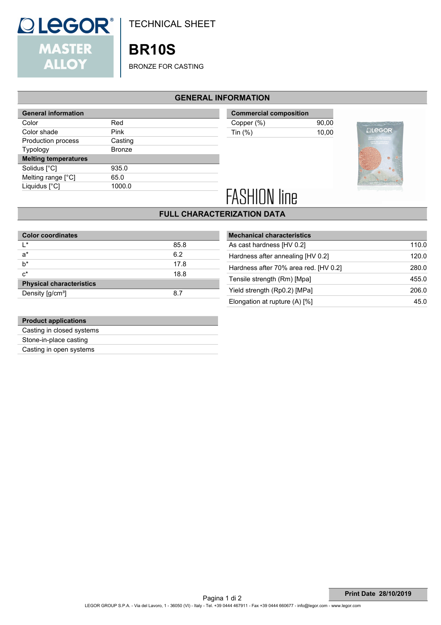

TECHNICAL SHEET

# **BR10S**

BRONZE FOR CASTING

#### **GENERAL INFORMATION**

| Red           |
|---------------|
| Pink          |
| Casting       |
| <b>Bronze</b> |
|               |
| 935.0         |
| 65.0          |
| 1000.0        |
|               |

**Commercial composition** Copper (%) 90,00 Tin (%) 10,00



# **FASHION line**

## **FULL CHARACTERIZATION DATA**

| <b>Color coordinates</b>        |      |
|---------------------------------|------|
| ı∗                              | 85.8 |
| $a^*$                           | 6.2  |
| h*                              | 17.8 |
| $c^*$                           | 18.8 |
| <b>Physical characteristics</b> |      |
| Density [g/cm <sup>3</sup> ]    | 8.7  |

| <b>Mechanical characteristics</b>     |       |
|---------------------------------------|-------|
| As cast hardness [HV 0.2]             | 110.0 |
| Hardness after annealing [HV 0.2]     | 120.0 |
| Hardness after 70% area red. [HV 0.2] | 280.0 |
| Tensile strength (Rm) [Mpa]           | 455.0 |
| Yield strength (Rp0.2) [MPa]          | 206.0 |
| Elongation at rupture $(A)$ [%]       | 45.0  |
|                                       |       |

| <b>Product applications</b> |
|-----------------------------|
| Casting in closed systems   |
| Stone-in-place casting      |
| Casting in open systems     |
|                             |